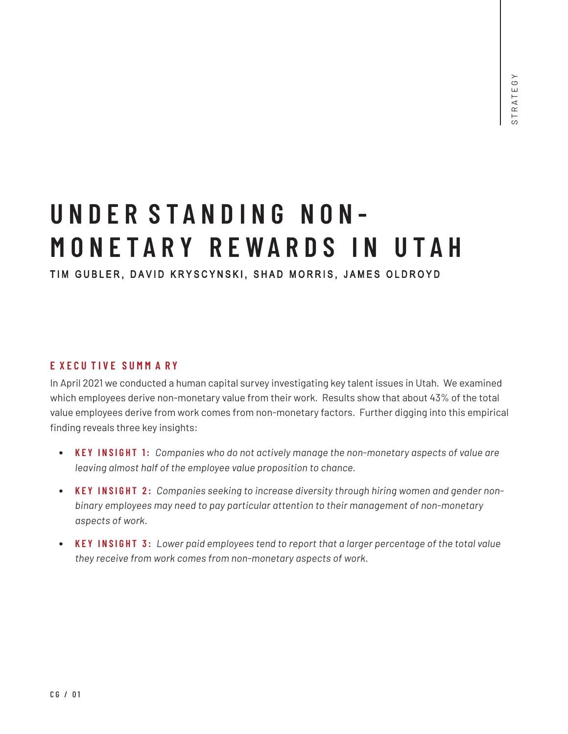# **U N D E R S T A N D I NG NO N - M ONE T ARY R E WA R D S IN U T A H**

TIM GUBLER, DAVID KRYSCYNSKI, SHAD MORRIS, JAMES OLDROYD

#### **E XECU TIVE SU M M A R Y**

In April 2021 we conducted a human capital survey investigating key talent issues in Utah. We examined which employees derive non-monetary value from their work. Results show that about 43% of the total value employees derive from work comes from non-monetary factors. Further digging into this empirical finding reveals three key insights:

- **KEY INSIGHT 1:** *Companies who do not actively manage the non-monetary aspects of value are leaving almost half of the employee value proposition to chance.*
- **KEY INSIGHT 2:** *Companies seeking to increase diversity through hiring women and gender nonbinary employees may need to pay particular attention to their management of non-monetary aspects of work.*
- **KEY INSIGHT 3:** *Lower paid employees tend to report that a larger percentage of the total value they receive from work comes from non-monetary aspects of work.*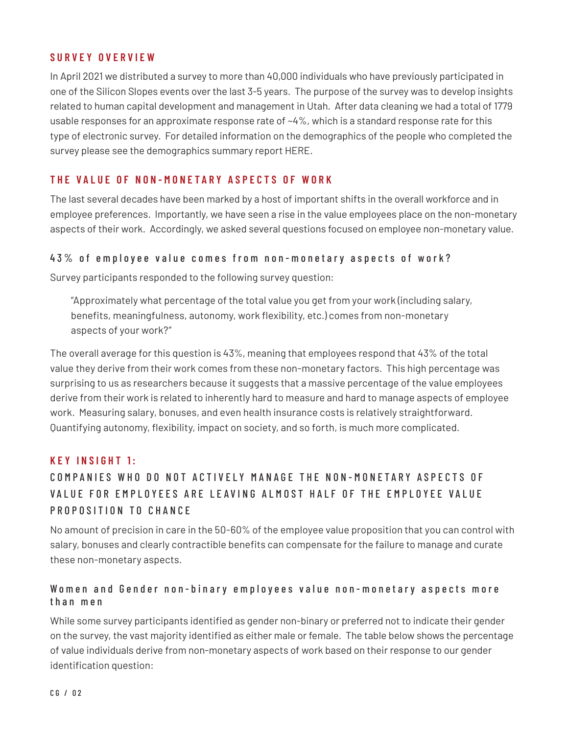#### **SURVEY OVERVIEW**

In April 2021 we distributed a survey to more than 40,000 individuals who have previously participated in one of the Silicon Slopes events over the last 3-5 years. The purpose of the survey was to develop insights related to human capital development and management in Utah. After data cleaning we had a total of 1779 usable responses for an approximate response rate of ~4%, which is a standard response rate for this type of electronic survey. For detailed information on the demographics of the people who completed the survey please see the demographics summary report HERE.

#### **THE VALUE OF NON-MONETARY ASPECTS OF WORK**

The last several decades have been marked by a host of important shifts in the overall workforce and in employee preferences. Importantly, we have seen a rise in the value employees place on the non-monetary aspects of their work. Accordingly, we asked several questions focused on employee non-monetary value.

#### 43% of employee value comes from non-monetary aspects of work?

Survey participants responded to the following survey question:

"Approximately what percentage of the total value you get from your work (including salary, benefits, meaningfulness, autonomy, work flexibility, etc.) comes from non-monetary aspects of your work?"

The overall average for this question is 43%, meaning that employees respond that 43% of the total value they derive from their work comes from these non-monetary factors. This high percentage was surprising to us as researchers because it suggests that a massive percentage of the value employees derive from their work is related to inherently hard to measure and hard to manage aspects of employee work. Measuring salary, bonuses, and even health insurance costs is relatively straightforward. Quantifying autonomy, flexibility, impact on society, and so forth, is much more complicated.

#### **KEY INSIGHT 1:**

## COMPANIES WHO DO NOT ACTIVEIY MANAGE THE NON-MONETARY ASPECTS OF VALUE FOR EMPLOYEES ARE LEAVING ALMOST HALF OF THE EMPLOYEE VALUE PROPOSITION TO CHANCE

No amount of precision in care in the 50-60% of the employee value proposition that you can control with salary, bonuses and clearly contractible benefits can compensate for the failure to manage and curate these non-monetary aspects.

#### Women and Gender non-binary employees value non-monetary aspects more than men

While some survey participants identified as gender non-binary or preferred not to indicate their gender on the survey, the vast majority identified as either male or female. The table below shows the percentage of value individuals derive from non-monetary aspects of work based on their response to our gender identification question: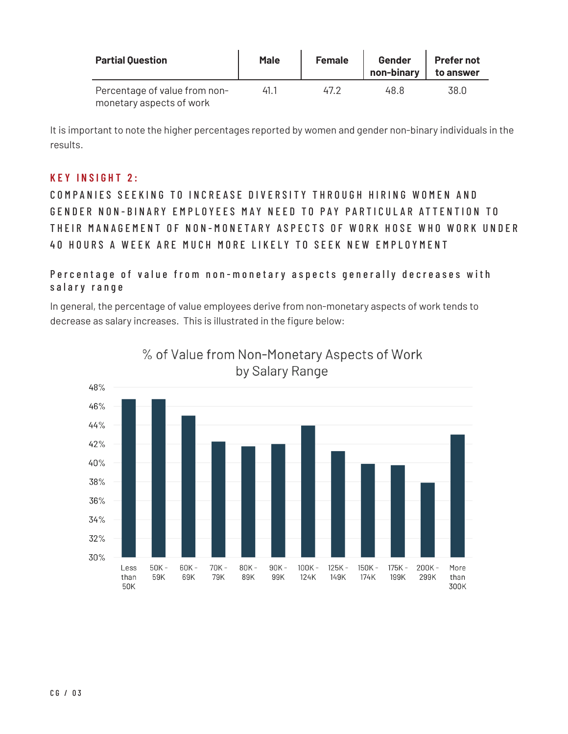| <b>Partial Question</b>                                   | <b>Male</b> | <b>Female</b> | Gender<br>non-binary | <b>Prefer not</b><br>to answer |
|-----------------------------------------------------------|-------------|---------------|----------------------|--------------------------------|
| Percentage of value from non-<br>monetary aspects of work | 41.1        | 47 2          | 48.8                 | 38.O                           |

It is important to note the higher percentages reported by women and gender non-binary individuals in the results.

#### **KEY INSIGHT 2:**

COMPANIES SEEKING TO INCREASE DIVERSITY THROUGH HIRING WOMEN AND GENDER NON-BINARY EMPLOYEES MAY NEED TO PAY PARTICULAR ATTENTION TO THEIR MANAGEMENT OF NON-MONETARY ASPECTS OF WORK HOSE WHO WORK UNDER 40 HOURS A WEEK ARE MUCH MORE LIKELY TO SEEK NEW EMPLOYMENT

#### Percentage of value from non-monetary aspects generally decreases with salary range

In general, the percentage of value employees derive from non-monetary aspects of work tends to decrease as salary increases. This is illustrated in the figure below:



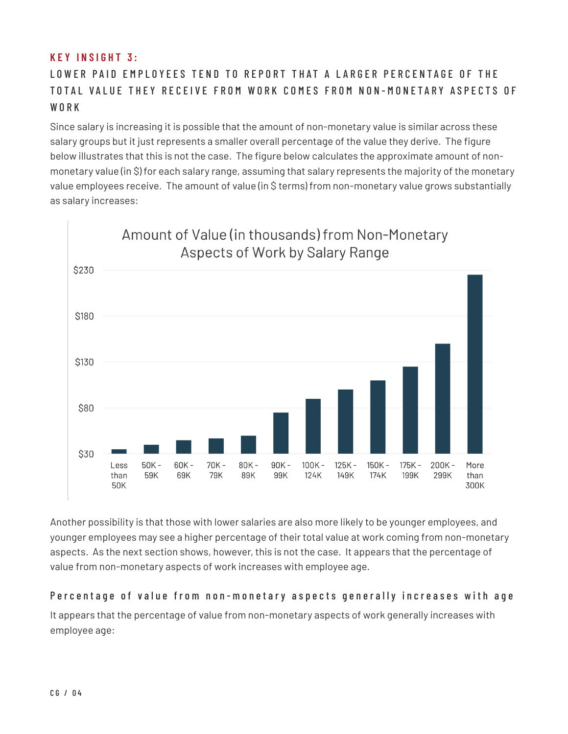## **KEY INSIGHT 3:**

# LOWER PAID EMPLOYEES TEND TO REPORT THAT A LARGER PERCENTAGE OF THE TOTAL VALUE THEY RECEIVE FROM WORK COMES FROM NON-MONETARY ASPECTS OF WORK

Since salary is increasing it is possible that the amount of non-monetary value is similar across these salary groups but it just represents a smaller overall percentage of the value they derive. The figure below illustrates that this is not the case. The figure below calculates the approximate amount of nonmonetary value (in \$) for each salary range, assuming that salary represents the majority of the monetary value employees receive. The amount of value (in \$ terms) from non-monetary value grows substantially as salary increases:



Another possibility is that those with lower salaries are also more likely to be younger employees, and younger employees may see a higher percentage of their total value at work coming from non-monetary aspects. As the next section shows, however, this is not the case. It appears that the percentage of value from non-monetary aspects of work increases with employee age.

#### Percentage of value from non-monetary aspects generally increases with age

It appears that the percentage of value from non-monetary aspects of work generally increases with employee age: